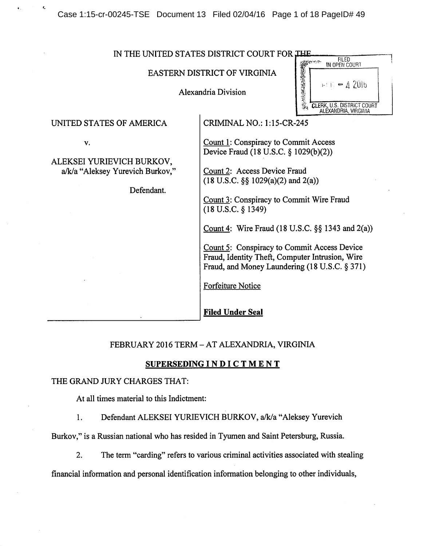Case 1:15-cr-00245-TSE Document 13 Filed 02/04/16 Page 1 of 18 PageID# 49

| IN THE UNITED STATES DISTRICT COURT FOR THE                                       |                                                                                                                                                                                                                                                                                                                                                                                                                                                                                         |
|-----------------------------------------------------------------------------------|-----------------------------------------------------------------------------------------------------------------------------------------------------------------------------------------------------------------------------------------------------------------------------------------------------------------------------------------------------------------------------------------------------------------------------------------------------------------------------------------|
|                                                                                   | <b>FILED</b><br><b>CLEF</b><br>IN OPEN COURT<br>EASTERN DISTRICT OF VIRGINIA<br>$E/E = 420 b$<br>Alexandria Division<br><b>CLERK, U.S. DISTRICT COURT</b><br>ALEXANDRIA, VIRGINIA                                                                                                                                                                                                                                                                                                       |
| UNITED STATES OF AMERICA                                                          | <b>CRIMINAL NO.: 1:15-CR-245</b>                                                                                                                                                                                                                                                                                                                                                                                                                                                        |
| v.<br>ALEKSEI YURIEVICH BURKOV,<br>a/k/a "Aleksey Yurevich Burkov,"<br>Defendant. | Count 1: Conspiracy to Commit Access<br>Device Fraud (18 U.S.C. § 1029(b)(2))<br>Count 2: Access Device Fraud<br>$(18 \text{ U.S.C. } \S \S 1029(a)(2) \text{ and } 2(a))$<br>Count 3: Conspiracy to Commit Wire Fraud<br>$(18$ U.S.C. $§$ 1349)<br>Count 4: Wire Fraud (18 U.S.C. $\S$ § 1343 and 2(a))<br>Count 5: Conspiracy to Commit Access Device<br>Fraud, Identity Theft, Computer Intrusion, Wire<br>Fraud, and Money Laundering (18 U.S.C. § 371)<br><b>Forfeiture Notice</b> |
|                                                                                   | <b>Filed Under Seal</b>                                                                                                                                                                                                                                                                                                                                                                                                                                                                 |

# FEBRUARY 2016 TERM - AT ALEXANDRIA, VIRGINIA

# SUPERSEDING INDICTMENT

# THE GRAND JURY CHARGES THAT:

 $\pmb{\epsilon}_*$ 

At all times material to this Indictment:

1. Defendant ALEKSEI YURIEVICH BURKOV, a/k/a "Aleksey Yurevich

Burkov," is a Russian national who has resided in Tyumen and Saint Petersburg, Russia.

2. The term "carding" refers to various criminal activities associated with stealing

financial information and personal identification information belonging to other individuals.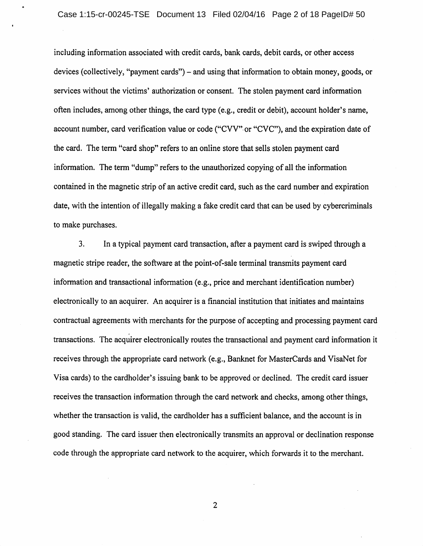including information associated with credit cards, bank cards, debit cards, or other access devices (collectively, "payment cards") – and using that information to obtain money, goods, or services without the victims' authorization or consent. The stolen payment card information often includes, among other things, the card type (e.g., credit or debit), account holder's name, account number, card verification value or code ("CVV" or "CVC"), and the expiration date of the card. The term "card shop" refers to an online store that sells stolen payment card information. The term "dump" refers to the unauthorized copying of all the information contained in the magnetic strip of an active credit card, such as the card number and expiration date, with the intention of illegally making a fake credit card that can be used by cybercriminals to make purchases.

3. In a typical payment card transaction, after a payment card is swiped through a magnetic stripe reader, the software at the point-of-sale terminal transmits payment card information and transactional information (e.g., price and merchant identification number) electronically to an acquirer. An acquirer is a financial institution that initiates and maintains contractual agreements with merchants for the purpose of accepting and processing payment card transactions. The acquirer electronically routes the transactional and payment card information it receives through the appropriate card network (e.g., Banknet for MasterCards and VisaNet for Visa cards) to the cardholder's issuing bank to be approved or declined. The credit card issuer receives the transaction information through the card network and checks, among other things, whether the transaction is valid, the cardholder has a sufficient balance, and the account is in good standing. The card issuer then electronically transmits an approval or declination response code through the appropriate card network to the acquirer, which forwards it to the merchant.

 $\overline{2}$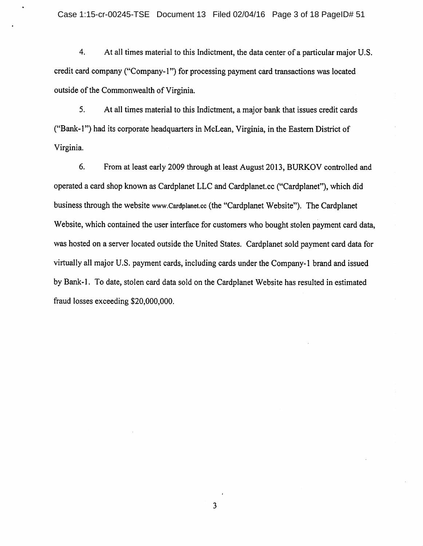4. At all times material to this Indictment, the data center of a particular major U.S. credit card company ("Company-1") for processing payment card transactions was located outside of the Commonwealth of Virginia.

5. At all times material to this Indictment, a major bank that issues credit cards ("Bank-1") had its corporate headquarters in McLean, Virginia, in the Eastern District of Virginia.

6. From at least early 2009 through at least August 2013, BURKOV controlled and operated a card shop known as Cardplanet LLC and Cardplanet.cc ("Cardplanet"), which did business through the website www.Cardplanet.cc (the "Cardplanet Website"). The Cardplanet Website, which contained the user interface for customers who bought stolen payment card data, was hosted on a server located outside the United States. Cardplanet sold payment card data for virtually all major U.S. payment cards, including cards under the Company-1 brand and issued by Bank-1. To date, stolen card data sold on the Cardplanet Website has resulted in estimated fraud losses exceeding \$20,000,000.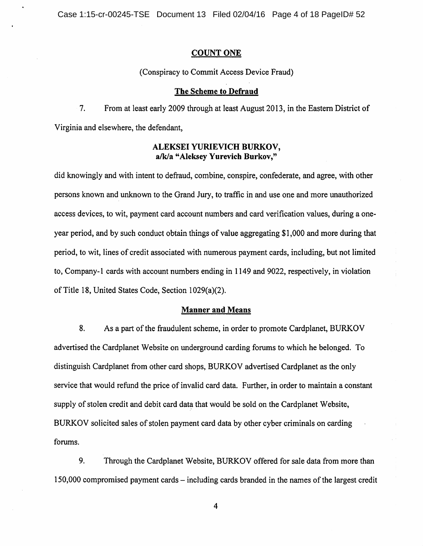## **COUNT ONE**

(Conspiracy to Commit Access Device Fraud)

#### The Scheme to Defraud

 $7.$ From at least early 2009 through at least August 2013, in the Eastern District of Virginia and elsewhere, the defendant,

# ALEKSEI YURIEVICH BURKOV, a/k/a "Aleksey Yurevich Burkov,"

did knowingly and with intent to defraud, combine, conspire, confederate, and agree, with other persons known and unknown to the Grand Jury, to traffic in and use one and more unauthorized access devices, to wit, payment card account numbers and card verification values, during a oneyear period, and by such conduct obtain things of value aggregating \$1,000 and more during that period, to wit, lines of credit associated with numerous payment cards, including, but not limited to, Company-1 cards with account numbers ending in 1149 and 9022, respectively, in violation of Title 18, United States Code, Section 1029(a)(2).

## **Manner and Means**

8. As a part of the fraudulent scheme, in order to promote Cardplanet, BURKOV advertised the Cardplanet Website on underground carding forums to which he belonged. To distinguish Cardplanet from other card shops, BURKOV advertised Cardplanet as the only service that would refund the price of invalid card data. Further, in order to maintain a constant supply of stolen credit and debit card data that would be sold on the Cardplanet Website, BURKOV solicited sales of stolen payment card data by other cyber criminals on carding forums.

 $9<sub>1</sub>$ Through the Cardplanet Website, BURKOV offered for sale data from more than 150,000 compromised payment cards – including cards branded in the names of the largest credit

 $\overline{4}$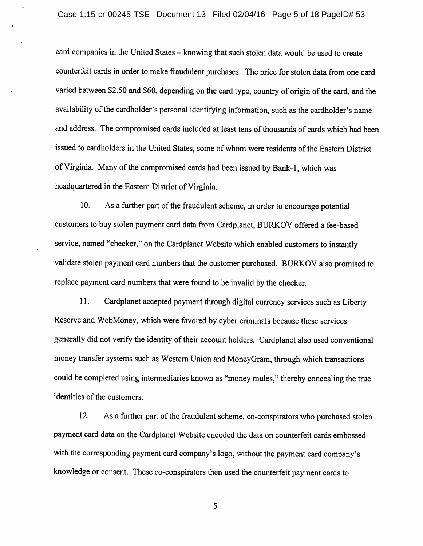card companies in the United States - knowing that such stolen data would be used to create counterfeit cards in order to make fraudulent purchases. The price for stolen data from one card varied between \$2.50 and \$60, depending on the card type, country of origin of the card, and the availability of the cardholder's personal identifying information, such as the cardholder's name and address. The compromised cards included at least tens of thousands of cards which had been issued to cardholders in the United States, some of whom were residents of the Eastern District of Virginia. Many of the compromised cards had been issued by Bank-1, which was headquartered in the Eastern District of Virginia.

 $10.$ As a further part of the fraudulent scheme, in order to encourage potential customers to buy stolen payment card data from Cardplanet, BURKOV offered a fee-based service, named "checker," on the Cardplanet Website which enabled customers to instantly validate stolen payment card numbers that the customer purchased. BURKOV also promised to replace payment card numbers that were found to be invalid by the checker.

11. Cardplanet accepted payment through digital currency services such as Liberty Reserve and WebMoney, which were favored by cyber criminals because these services generally did not verify the identity of their account holders. Cardplanet also used conventional money transfer systems such as Western Union and MoneyGram, through which transactions could be completed using intermediaries known as "money mules," thereby concealing the true identities of the customers.

 $12.$ As a further part of the fraudulent scheme, co-conspirators who purchased stolen payment card data on the Cardplanet Website encoded the data on counterfeit cards embossed with the corresponding payment card company's logo, without the payment card company's knowledge or consent. These co-conspirators then used the counterfeit payment cards to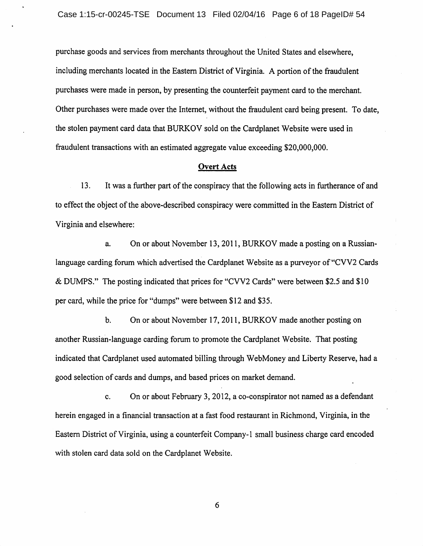purchase goods and services from merchants throughout the United States and elsewhere, including merchants located in the Eastern District of Virginia. A portion of the fraudulent purchases were made in person, by presenting the counterfeit payment card to the merchant. Other purchases were made over the Internet, without the fraudulent card being present. To date, the stolen payment card data that BURKOV sold on the Cardplanet Website were used in fraudulent transactions with an estimated aggregate value exceeding \$20,000,000.

## **Overt Acts**

 $13.$ It was a further part of the conspiracy that the following acts in furtherance of and to effect the object of the above-described conspiracy were committed in the Eastern District of Virginia and elsewhere:

On or about November 13, 2011, BURKOV made a posting on a Russiana. language carding forum which advertised the Cardplanet Website as a purveyor of "CVV2 Cards" & DUMPS." The posting indicated that prices for "CVV2 Cards" were between \$2.5 and \$10 per card, while the price for "dumps" were between \$12 and \$35.

b. On or about November 17, 2011, BURKOV made another posting on another Russian-language carding forum to promote the Cardplanet Website. That posting indicated that Cardplanet used automated billing through WebMoney and Liberty Reserve, had a good selection of cards and dumps, and based prices on market demand.

 $\mathbf{c}$ . On or about February 3, 2012, a co-conspirator not named as a defendant herein engaged in a financial transaction at a fast food restaurant in Richmond, Virginia, in the Eastern District of Virginia, using a counterfeit Company-1 small business charge card encoded with stolen card data sold on the Cardplanet Website.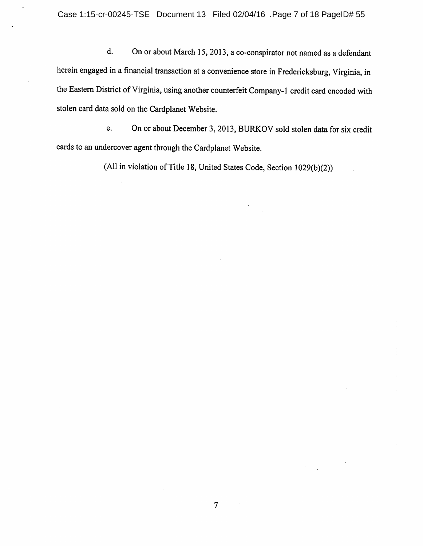$d.$ On or about March 15, 2013, a co-conspirator not named as a defendant herein engaged in a financial transaction at a convenience store in Fredericksburg, Virginia, in the Eastern District of Virginia, using another counterfeit Company-1 credit card encoded with stolen card data sold on the Cardplanet Website.

On or about December 3, 2013, BURKOV sold stolen data for six credit e. cards to an undercover agent through the Cardplanet Website.

(All in violation of Title 18, United States Code, Section 1029(b)(2))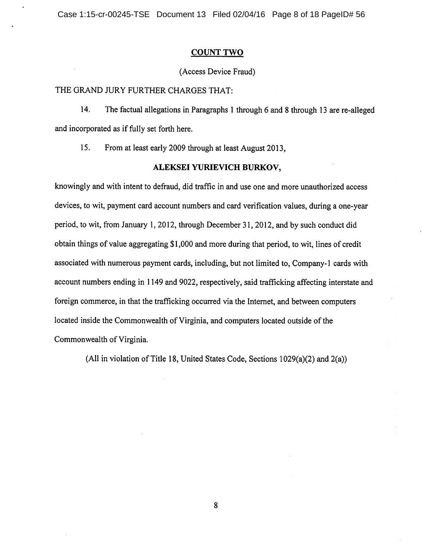Case 1:15-cr-00245-TSE Document 13 Filed 02/04/16 Page 8 of 18 PageID# 56

## **COUNT TWO**

## (Access Device Fraud)

## THE GRAND JURY FURTHER CHARGES THAT:

14. The factual allegations in Paragraphs 1 through 6 and 8 through 13 are re-alleged and incorporated as if fully set forth here.

15. From at least early 2009 through at least August 2013,

## ALEKSEI YURIEVICH BURKOV,

knowingly and with intent to defraud, did traffic in and use one and more unauthorized access devices, to wit, payment card account numbers and card verification values, during a one-year period, to wit, from January 1, 2012, through December 31, 2012, and by such conduct did obtain things of value aggregating \$1,000 and more during that period, to wit, lines of credit associated with numerous payment cards, including, but not limited to, Company-1 cards with account numbers ending in 1149 and 9022, respectively, said trafficking affecting interstate and foreign commerce, in that the trafficking occurred via the Internet, and between computers located inside the Commonwealth of Virginia, and computers located outside of the Commonwealth of Virginia.

(All in violation of Title 18, United States Code, Sections 1029(a)(2) and 2(a))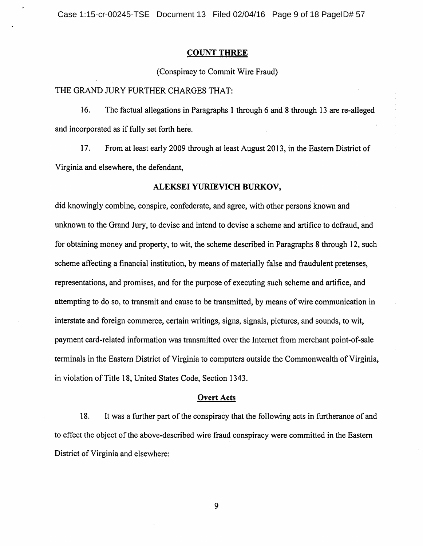#### **COUNT THREE**

(Conspiracy to Commit Wire Fraud)

THE GRAND JURY FURTHER CHARGES THAT:

16. The factual allegations in Paragraphs 1 through 6 and 8 through 13 are re-alleged and incorporated as if fully set forth here.

17. From at least early 2009 through at least August 2013, in the Eastern District of Virginia and elsewhere, the defendant,

#### ALEKSEI YURIEVICH BURKOV,

did knowingly combine, conspire, confederate, and agree, with other persons known and unknown to the Grand Jury, to devise and intend to devise a scheme and artifice to defraud, and for obtaining money and property, to wit, the scheme described in Paragraphs 8 through 12, such scheme affecting a financial institution, by means of materially false and fraudulent pretenses, representations, and promises, and for the purpose of executing such scheme and artifice, and attempting to do so, to transmit and cause to be transmitted, by means of wire communication in interstate and foreign commerce, certain writings, signs, signals, pictures, and sounds, to wit, payment card-related information was transmitted over the Internet from merchant point-of-sale terminals in the Eastern District of Virginia to computers outside the Commonwealth of Virginia, in violation of Title 18, United States Code, Section 1343.

## **Overt Acts**

18. It was a further part of the conspiracy that the following acts in furtherance of and to effect the object of the above-described wire fraud conspiracy were committed in the Eastern District of Virginia and elsewhere: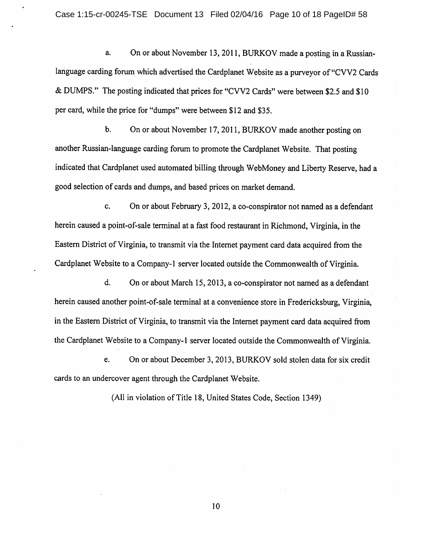On or about November 13, 2011, BURKOV made a posting in a Russiana. language carding forum which advertised the Cardplanet Website as a purvey of "CVV2 Cards" & DUMPS." The posting indicated that prices for "CVV2 Cards" were between \$2.5 and \$10 per card, while the price for "dumps" were between \$12 and \$35.

On or about November 17, 2011, BURKOV made another posting on  $\mathbf{b}$ . another Russian-language carding forum to promote the Cardplanet Website. That posting indicated that Cardplanet used automated billing through WebMoney and Liberty Reserve, had a good selection of cards and dumps, and based prices on market demand.

c. On or about February 3, 2012, a co-conspirator not named as a defendant herein caused a point-of-sale terminal at a fast food restaurant in Richmond, Virginia, in the Eastern District of Virginia, to transmit via the Internet payment card data acquired from the Cardplanet Website to a Company-1 server located outside the Commonwealth of Virginia.

d. On or about March 15, 2013, a co-conspirator not named as a defendant herein caused another point-of-sale terminal at a convenience store in Fredericksburg, Virginia. in the Eastern District of Virginia, to transmit via the Internet payment card data acquired from the Cardplanet Website to a Company-1 server located outside the Commonwealth of Virginia.

On or about December 3, 2013, BURKOV sold stolen data for six credit e. cards to an undercover agent through the Cardplanet Website.

(All in violation of Title 18, United States Code, Section 1349)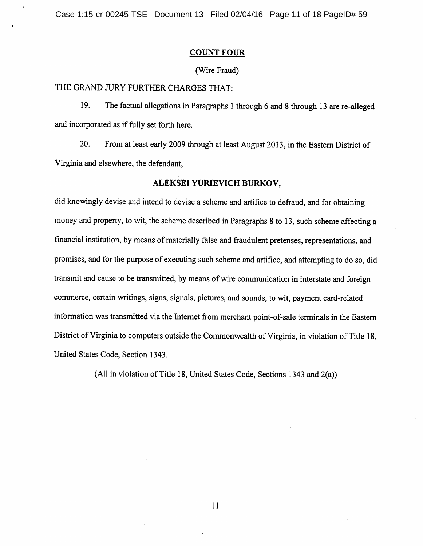## **COUNT FOUR**

# (Wire Fraud)

THE GRAND JURY FURTHER CHARGES THAT:

19. The factual allegations in Paragraphs 1 through 6 and 8 through 13 are re-alleged and incorporated as if fully set forth here.

20. From at least early 2009 through at least August 2013, in the Eastern District of Virginia and elsewhere, the defendant,

#### ALEKSEI YURIEVICH BURKOV,

did knowingly devise and intend to devise a scheme and artifice to defraud, and for obtaining money and property, to wit, the scheme described in Paragraphs 8 to 13, such scheme affecting a financial institution, by means of materially false and fraudulent pretenses, representations, and promises, and for the purpose of executing such scheme and artifice, and attempting to do so, did transmit and cause to be transmitted, by means of wire communication in interstate and foreign commerce, certain writings, signs, signals, pictures, and sounds, to wit, payment card-related information was transmitted via the Internet from merchant point-of-sale terminals in the Eastern District of Virginia to computers outside the Commonwealth of Virginia, in violation of Title 18, United States Code, Section 1343.

(All in violation of Title 18, United States Code, Sections 1343 and 2(a))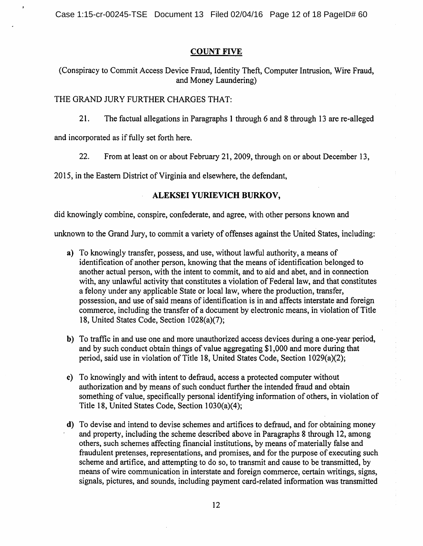## **COUNT FIVE**

(Conspiracy to Commit Access Device Fraud, Identity Theft, Computer Intrusion, Wire Fraud, and Money Laundering)

# THE GRAND JURY FURTHER CHARGES THAT:

 $21.$ The factual allegations in Paragraphs 1 through 6 and 8 through 13 are re-alleged

and incorporated as if fully set forth here.

 $22.$ From at least on or about February 21, 2009, through on or about December 13,

2015, in the Eastern District of Virginia and elsewhere, the defendant,

## ALEKSEI YURIEVICH BURKOV,

did knowingly combine, conspire, confederate, and agree, with other persons known and

unknown to the Grand Jury, to commit a variety of offenses against the United States, including:

- a) To knowingly transfer, possess, and use, without lawful authority, a means of identification of another person, knowing that the means of identification belonged to another actual person, with the intent to commit, and to aid and abet, and in connection with, any unlawful activity that constitutes a violation of Federal law, and that constitutes a felony under any applicable State or local law, where the production, transfer, possession, and use of said means of identification is in and affects interstate and foreign commerce, including the transfer of a document by electronic means, in violation of Title 18, United States Code, Section 1028(a)(7);
- b) To traffic in and use one and more unauthorized access devices during a one-year period, and by such conduct obtain things of value aggregating \$1,000 and more during that period, said use in violation of Title 18, United States Code, Section 1029(a)(2);
- c) To knowingly and with intent to defraud, access a protected computer without authorization and by means of such conduct further the intended fraud and obtain something of value, specifically personal identifying information of others, in violation of Title 18, United States Code, Section 1030(a)(4);
- d) To devise and intend to devise schemes and artifices to defraud, and for obtaining money and property, including the scheme described above in Paragraphs 8 through 12, among others, such schemes affecting financial institutions, by means of materially false and fraudulent pretenses, representations, and promises, and for the purpose of executing such scheme and artifice, and attempting to do so, to transmit and cause to be transmitted, by means of wire communication in interstate and foreign commerce, certain writings, signs, signals, pictures, and sounds, including payment card-related information was transmitted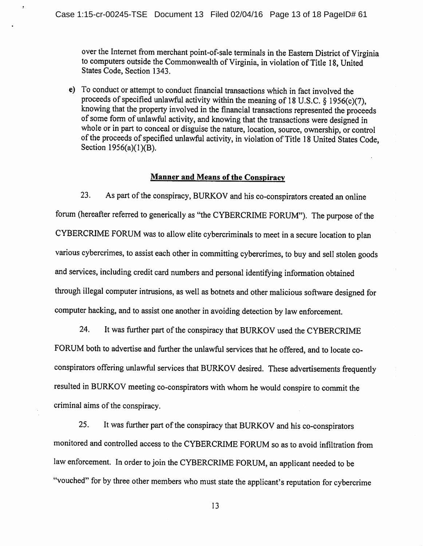over the Internet from merchant point-of-sale terminals in the Eastern District of Virginia to computers outside the Commonwealth of Virginia, in violation of Title 18, United States Code, Section 1343.

e) To conduct or attempt to conduct financial transactions which in fact involved the proceeds of specified unlawful activity within the meaning of 18 U.S.C. § 1956(c)(7), knowing that the property involved in the financial transactions represented the proceeds of some form of unlawful activity, and knowing that the transactions were designed in whole or in part to conceal or disguise the nature, location, source, ownership, or control of the proceeds of specified unlawful activity, in violation of Title 18 United States Code, Section 1956(a)(1)(B).

#### **Manner and Means of the Conspiracy**

23. As part of the conspiracy, BURKOV and his co-conspirators created an online forum (hereafter referred to generically as "the CYBERCRIME FORUM"). The purpose of the CYBERCRIME FORUM was to allow elite cybercriminals to meet in a secure location to plan various cybercrimes, to assist each other in committing cybercrimes, to buy and sell stolen goods and services, including credit card numbers and personal identifying information obtained through illegal computer intrusions, as well as botnets and other malicious software designed for computer hacking, and to assist one another in avoiding detection by law enforcement.

24. It was further part of the conspiracy that BURKOV used the CYBERCRIME FORUM both to advertise and further the unlawful services that he offered, and to locate coconspirators offering unlawful services that BURKOV desired. These advertisements frequently resulted in BURKOV meeting co-conspirators with whom he would conspire to commit the criminal aims of the conspiracy.

25. It was further part of the conspiracy that BURKOV and his co-conspirators monitored and controlled access to the CYBERCRIME FORUM so as to avoid infiltration from law enforcement. In order to join the CYBERCRIME FORUM, an applicant needed to be "vouched" for by three other members who must state the applicant's reputation for cybercrime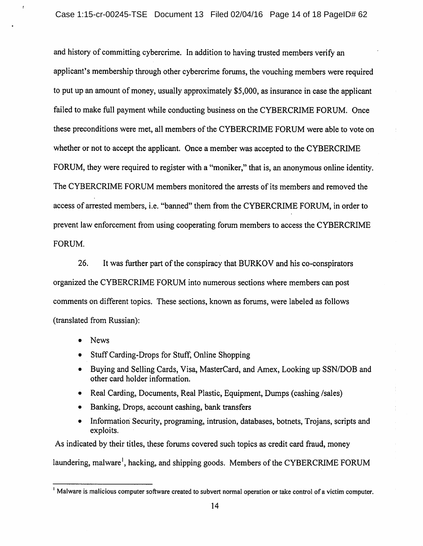and history of committing cybercrime. In addition to having trusted members verify an applicant's membership through other cybercrime forums, the vouching members were required to put up an amount of money, usually approximately \$5,000, as insurance in case the applicant failed to make full payment while conducting business on the CYBERCRIME FORUM. Once these preconditions were met, all members of the CYBERCRIME FORUM were able to vote on whether or not to accept the applicant. Once a member was accepted to the CYBERCRIME FORUM, they were required to register with a "moniker," that is, an anonymous online identity. The CYBERCRIME FORUM members monitored the arrests of its members and removed the access of arrested members, i.e. "banned" them from the CYBERCRIME FORUM, in order to prevent law enforcement from using cooperating forum members to access the CYBERCRIME FORUM.

26. It was further part of the conspiracy that BURKOV and his co-conspirators organized the CYBERCRIME FORUM into numerous sections where members can post comments on different topics. These sections, known as forums, were labeled as follows (translated from Russian):

- **News**  $\bullet$
- Stuff Carding-Drops for Stuff, Online Shopping
- Buying and Selling Cards, Visa, MasterCard, and Amex, Looking up SSN/DOB and other card holder information.
- Real Carding, Documents, Real Plastic, Equipment, Dumps (cashing /sales)
- Banking, Drops, account cashing, bank transfers
- Information Security, programing, intrusion, databases, botnets, Trojans, scripts and exploits.

As indicated by their titles, these forums covered such topics as credit card fraud, money laundering, malware<sup>1</sup>, hacking, and shipping goods. Members of the CYBERCRIME FORUM

<sup>&</sup>lt;sup>1</sup> Malware is malicious computer software created to subvert normal operation or take control of a victim computer.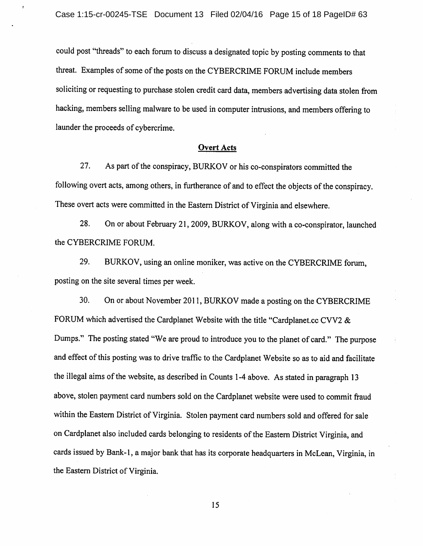could post "threads" to each forum to discuss a designated topic by posting comments to that threat. Examples of some of the posts on the CYBERCRIME FORUM include members soliciting or requesting to purchase stolen credit card data, members advertising data stolen from hacking, members selling malware to be used in computer intrusions, and members offering to launder the proceeds of cybercrime.

#### **Overt Acts**

27. As part of the conspiracy, BURKOV or his co-conspirators committed the following overt acts, among others, in furtherance of and to effect the objects of the conspiracy. These overt acts were committed in the Eastern District of Virginia and elsewhere.

28. On or about February 21, 2009, BURKOV, along with a co-conspirator, launched the CYBERCRIME FORUM.

29. BURKOV, using an online moniker, was active on the CYBERCRIME forum, posting on the site several times per week.

30. On or about November 2011, BURKOV made a posting on the CYBERCRIME FORUM which advertised the Cardplanet Website with the title "Cardplanet.cc CVV2 & Dumps." The posting stated "We are proud to introduce you to the planet of card." The purpose and effect of this posting was to drive traffic to the Cardplanet Website so as to aid and facilitate the illegal aims of the website, as described in Counts 1-4 above. As stated in paragraph 13 above, stolen payment card numbers sold on the Cardplanet website were used to commit fraud within the Eastern District of Virginia. Stolen payment card numbers sold and offered for sale on Cardplanet also included cards belonging to residents of the Eastern District Virginia, and cards issued by Bank-1, a major bank that has its corporate headquarters in McLean, Virginia, in the Eastern District of Virginia.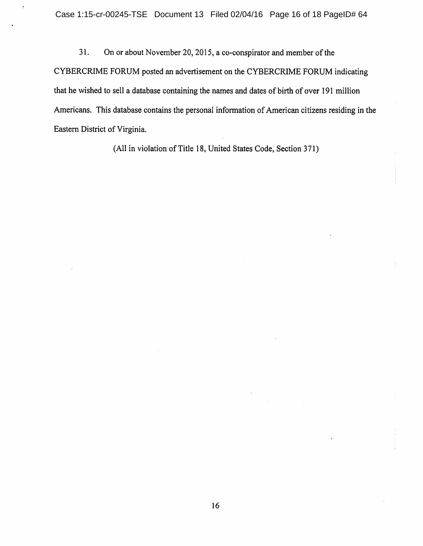$31.$ On or about November 20, 2015, a co-conspirator and member of the CYBERCRIME FORUM posted an advertisement on the CYBERCRIME FORUM indicating that he wished to sell a database containing the names and dates of birth of over 191 million Americans. This database contains the personal information of American citizens residing in the Eastern District of Virginia.

(All in violation of Title 18, United States Code, Section 371)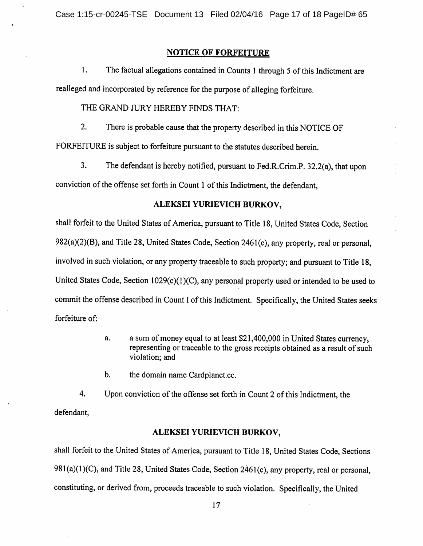Case 1:15-cr-00245-TSE Document 13 Filed 02/04/16 Page 17 of 18 PageID# 65

## **NOTICE OF FORFEITURE**

 $1.$ The factual allegations contained in Counts 1 through 5 of this Indictment are realleged and incorporated by reference for the purpose of alleging forfeiture.

THE GRAND JURY HEREBY FINDS THAT:

 $2.$ There is probable cause that the property described in this NOTICE OF

FORFEITURE is subject to forfeiture pursuant to the statutes described herein.

 $3.$ The defendant is hereby notified, pursuant to Fed.R.Crim.P. 32.2(a), that upon conviction of the offense set forth in Count 1 of this Indictment, the defendant,

## ALEKSEI YURIEVICH BURKOV,

shall forfeit to the United States of America, pursuant to Title 18, United States Code, Section 982(a)(2)(B), and Title 28, United States Code, Section 2461(c), any property, real or personal, involved in such violation, or any property traceable to such property; and pursuant to Title 18, United States Code, Section 1029(c)(1)(C), any personal property used or intended to be used to commit the offense described in Count I of this Indictment. Specifically, the United States seeks forfeiture of:

- a sum of money equal to at least \$21,400,000 in United States currency, a. representing or traceable to the gross receipts obtained as a result of such violation: and
- $\mathbf b$ . the domain name Cardplanet.cc.

 $4.$ Upon conviction of the offense set forth in Count 2 of this Indictment, the defendant.

#### ALEKSEI YURIEVICH BURKOV.

shall forfeit to the United States of America, pursuant to Title 18, United States Code, Sections 981(a)(1)(C), and Title 28, United States Code, Section 2461(c), any property, real or personal. constituting, or derived from, proceeds traceable to such violation. Specifically, the United